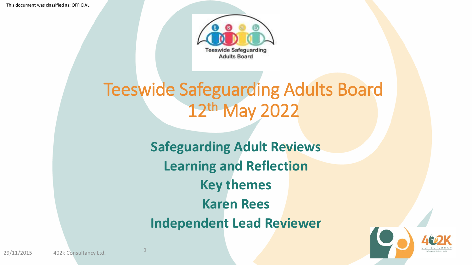This document was classified as: OFFICIAL



# Teeswide Safeguarding Adults Board 12th May 2022

**Safeguarding Adult Reviews Learning and Reflection Key themes Karen Rees Independent Lead Reviewer**



1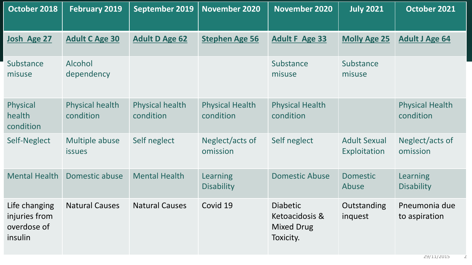| October 2018                                             | <b>February 2019</b>            | September 2019                      | <b>November 2020</b>                | <b>November 2020</b>                                                | <b>July 2021</b>                    | October 2021                         |
|----------------------------------------------------------|---------------------------------|-------------------------------------|-------------------------------------|---------------------------------------------------------------------|-------------------------------------|--------------------------------------|
| Josh Age 27                                              | <b>Adult C Age 30</b>           | <b>Adult D Age 62</b>               | <b>Stephen Age 56</b>               | <b>Adult F Age 33</b>                                               | <b>Molly Age 25</b>                 | <b>Adult J Age 64</b>                |
| Substance<br>misuse                                      | Alcohol<br>dependency           |                                     |                                     | Substance<br>misuse                                                 | Substance<br>misuse                 |                                      |
| Physical<br>health<br>condition                          | Physical health<br>condition    | <b>Physical health</b><br>condition | <b>Physical Health</b><br>condition | <b>Physical Health</b><br>condition                                 |                                     | <b>Physical Health</b><br>condition  |
| Self-Neglect                                             | Multiple abuse<br><b>issues</b> | Self neglect                        | Neglect/acts of<br>omission         | Self neglect                                                        | <b>Adult Sexual</b><br>Exploitation | Neglect/acts of<br>omission          |
| <b>Mental Health</b>                                     | Domestic abuse                  | <b>Mental Health</b>                | Learning<br><b>Disability</b>       | <b>Domestic Abuse</b>                                               | <b>Domestic</b><br>Abuse            | <b>Learning</b><br><b>Disability</b> |
| Life changing<br>injuries from<br>overdose of<br>insulin | <b>Natural Causes</b>           | <b>Natural Causes</b>               | Covid 19                            | <b>Diabetic</b><br>Ketoacidosis &<br><b>Mixed Drug</b><br>Toxicity. | Outstanding<br>inquest              | Pneumonia due<br>to aspiration       |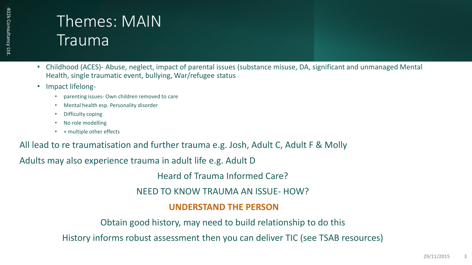### Themes: MAIN Trauma

- Childhood (ACES)- Abuse, neglect, impact of parental issues (substance misuse, DA, significant and unmanaged Mental Health, single traumatic event, bullying, War/refugee status
- Impact lifelong-
	- parenting issues- Own children removed to care
	- Mental health esp. Personality disorder
	- Difficulty coping
	- No role modelling
	- + multiple other effects

All lead to re traumatisation and further trauma e.g. Josh, Adult C, Adult F & Molly

Adults may also experience trauma in adult life e.g. Adult D

Heard of Trauma Informed Care?

NEED TO KNOW TRAUMA AN ISSUE- HOW?

### **UNDERSTAND THE PERSON**

Obtain good history, may need to build relationship to do this

History informs robust assessment then you can deliver TIC (see TSAB resources)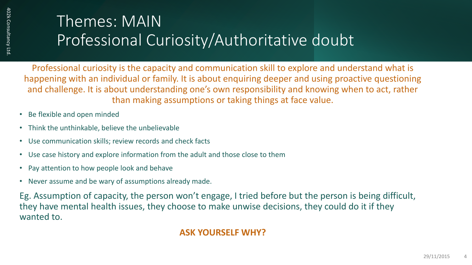### Themes: MAIN Professional Curiosity/Authoritative doubt

Professional curiosity is the capacity and communication skill to explore and understand what is happening with an individual or family. It is about enquiring deeper and using proactive questioning and challenge. It is about understanding one's own responsibility and knowing when to act, rather than making assumptions or taking things at face value.

- Be flexible and open minded
- Think the unthinkable, believe the unbelievable
- Use communication skills; review records and check facts
- Use case history and explore information from the adult and those close to them
- Pay attention to how people look and behave
- Never assume and be wary of assumptions already made.

Eg. Assumption of capacity, the person won't engage, I tried before but the person is being difficult, they have mental health issues, they choose to make unwise decisions, they could do it if they wanted to.

### **ASK YOURSELF WHY?**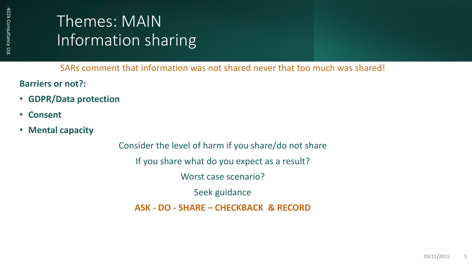### Themes: MAIN Information sharing

SARs comment that information was not shared never that too much was shared!

**Barriers or not?:**

- **GDPR/Data protection**
- **Consent**
- **Mental capacity**

Consider the level of harm if you share/do not share If you share what do you expect as a result? Worst case scenario? Seek guidance **ASK - DO - SHARE – CHECKBACK & RECORD**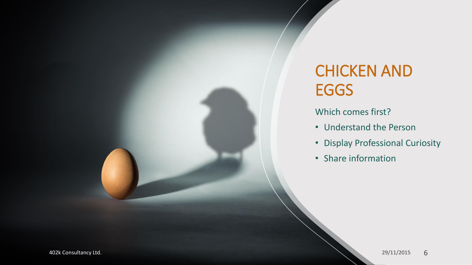## CHICKEN AND EGGS

Which comes first?

- Understand the Person
- Display Professional Curiosity
- Share information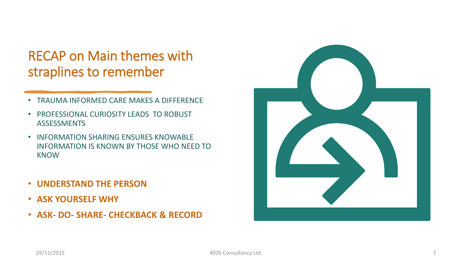### RECAP on Main themes with straplines to remember

- TRAUMA INFORMED CARE MAKES A DIFFERENCE
- PROFESSIONAL CURIOSITY LEADS TO ROBUST **ASSESSMENTS**
- INFORMATION SHARING ENSURES KNOWABLE INFORMATION IS KNOWN BY THOSE WHO NEED TO KNOW
- **UNDERSTAND THE PERSON**
- **ASK YOURSELF WHY**
- **ASK- DO- SHARE- CHECKBACK & RECORD**

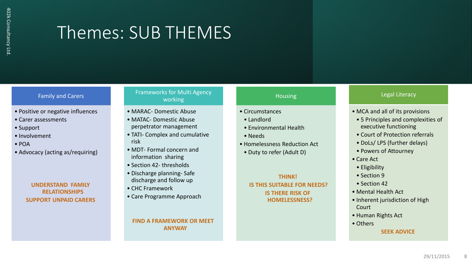# Themes: SUB THEMES

#### Family and Carers

- Positive or negative influences
- Carer assessments
- Support
- Involvement
- POA
- Advocacy (acting as/requiring)

#### **UNDERSTAND FAMILY RELATIONSHIPS SUPPORT UNPAID CARERS**

#### Frameworks for Multi Agency working

- MARAC- Domestic Abuse
- MATAC- Domestic Abuse perpetrator management
- TATI- Complex and cumulative risk
- MDT- Formal concern and information sharing
- Section 42- thresholds
- Discharge planning- Safe discharge and follow up
- CHC Framework
- Care Programme Approach

#### **FIND A FRAMEWORK OR MEET ANYWAY**

#### Housing

#### • Circumstances

- Landlord
- Environmental Health
- Needs
- Homelessness Reduction Act
- Duty to refer (Adult D)

#### **THINK! IS THIS SUITABLE FOR NEEDS? IS THERE RISK OF HOMELESSNESS?**

#### Legal Literacy

- MCA and all of its provisions
- 5 Principles and complexities of executive functioning
- Court of Protection referrals
- DoLs/ LPS (further delays)
- Powers of Attourney
- Care Act
- Eligibility
- Section 9
- Section 42
- Mental Health Act
- Inherent jurisdiction of High Court
- Human Rights Act
- Others **SEEK ADVICE**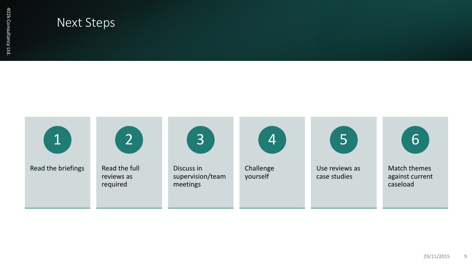### Next Steps

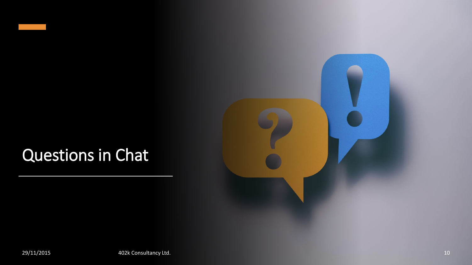## Questions in Chat